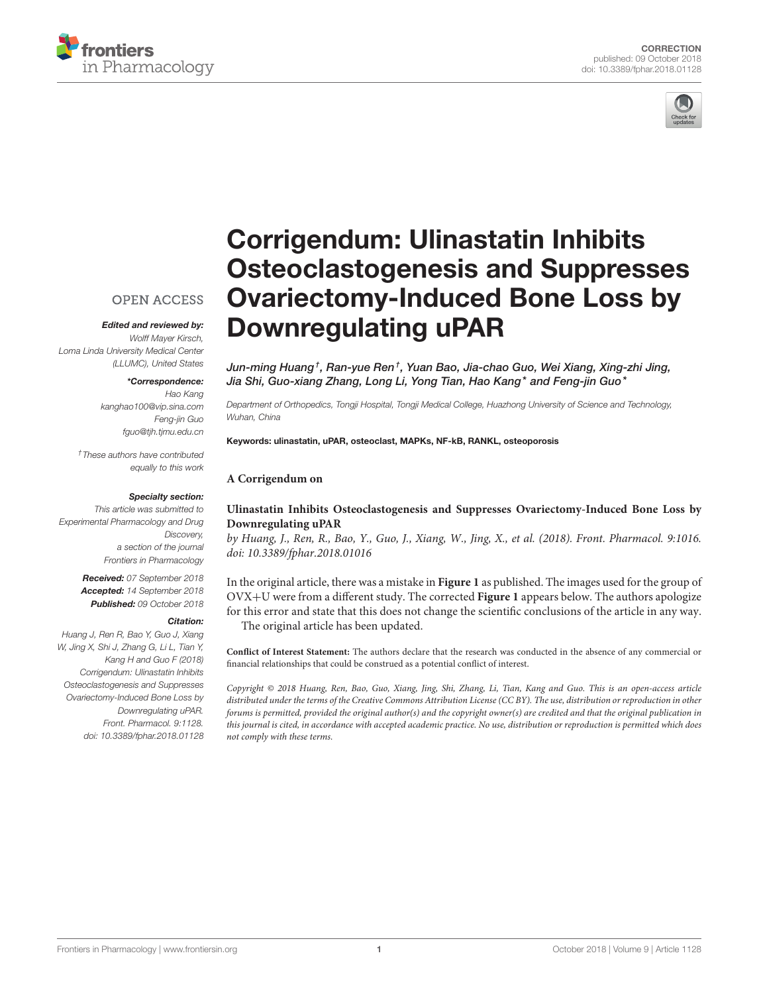



## **OPEN ACCESS**

Edited and reviewed by: *Wolff Mayer Kirsch, Loma Linda University Medical Center*

#### *(LLUMC), United States* \*Correspondence:

*Hao Kang [kanghao100@vip.sina.com](mailto:kanghao100@vip.sina.com) Feng-jin Guo [fguo@tjh.tjmu.edu.cn](mailto:fguo@tjh.tjmu.edu.cn)*

*†These authors have contributed equally to this work*

#### Specialty section:

*This article was submitted to Experimental Pharmacology and Drug Discovery, a section of the journal Frontiers in Pharmacology*

> Received: *07 September 2018* Accepted: *14 September 2018* Published: *09 October 2018*

#### Citation:

*Huang J, Ren R, Bao Y, Guo J, Xiang W, Jing X, Shi J, Zhang G, Li L, Tian Y, Kang H and Guo F (2018) Corrigendum: Ulinastatin Inhibits Osteoclastogenesis and Suppresses Ovariectomy-Induced Bone Loss by Downregulating uPAR. Front. Pharmacol. 9:1128. doi: [10.3389/fphar.2018.01128](https://doi.org/10.3389/fphar.2018.01128)*

# Corrigendum: Ulinastatin Inhibits [Osteoclastogenesis and Suppresses](https://www.frontiersin.org/articles/10.3389/fphar.2018.01128/full) Ovariectomy-Induced Bone Loss by Downregulating uPAR

[Jun-ming Huang](http://loop.frontiersin.org/people/468809/overview)† , [Ran-yue Ren](http://loop.frontiersin.org/people/480255/overview)† , Yuan Bao, [Jia-chao Guo,](http://loop.frontiersin.org/people/480250/overview) Wei Xiang, [Xing-zhi Jing,](http://loop.frontiersin.org/people/597895/overview) Jia Shi, Guo-xiang Zhang, Long Li, Yong Tian, [Hao Kang\\*](http://loop.frontiersin.org/people/541783/overview) and Feng-jin Guo\*

*Department of Orthopedics, Tongji Hospital, Tongji Medical College, Huazhong University of Science and Technology, Wuhan, China*

Keywords: ulinastatin, uPAR, osteoclast, MAPKs, NF-kB, RANKL, osteoporosis

#### **A Corrigendum on**

### **[Ulinastatin Inhibits Osteoclastogenesis and Suppresses Ovariectomy-Induced Bone Loss by](https://doi.org/10.3389/fphar.2018.01016) Downregulating uPAR**

by Huang, J., Ren, R., Bao, Y., Guo, J., Xiang, W., Jing, X., et al. (2018). Front. Pharmacol. 9:1016. doi: [10.3389/fphar.2018.01016](https://doi.org/10.3389/fphar.2018.01016)

In the original article, there was a mistake in **[Figure 1](#page-1-0)** as published. The images used for the group of OVX+U were from a different study. The corrected **[Figure 1](#page-1-0)** appears below. The authors apologize for this error and state that this does not change the scientific conclusions of the article in any way. The original article has been updated.

**Conflict of Interest Statement:** The authors declare that the research was conducted in the absence of any commercial or financial relationships that could be construed as a potential conflict of interest.

Copyright © 2018 Huang, Ren, Bao, Guo, Xiang, Jing, Shi, Zhang, Li, Tian, Kang and Guo. This is an open-access article distributed under the terms of the [Creative Commons Attribution License \(CC BY\).](http://creativecommons.org/licenses/by/4.0/) The use, distribution or reproduction in other forums is permitted, provided the original author(s) and the copyright owner(s) are credited and that the original publication in this journal is cited, in accordance with accepted academic practice. No use, distribution or reproduction is permitted which does not comply with these terms.